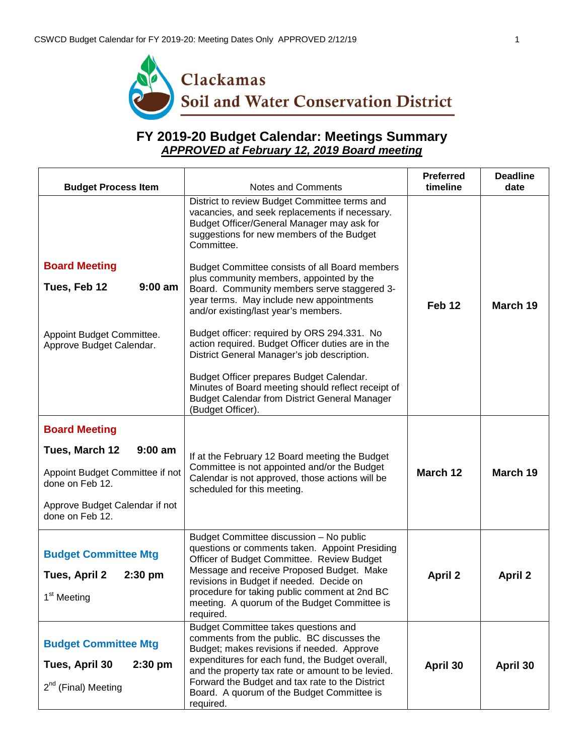

## **FY 2019-20 Budget Calendar: Meetings Summary** *APPROVED at February 12, 2019 Board meeting*

| <b>Budget Process Item</b>                                                                                 | Notes and Comments                                                                                                                                                                                                                                                                                                                                                                                                                                                                                                                                                                                                                                                                                                                                                                 | <b>Preferred</b><br>timeline | <b>Deadline</b><br>date |
|------------------------------------------------------------------------------------------------------------|------------------------------------------------------------------------------------------------------------------------------------------------------------------------------------------------------------------------------------------------------------------------------------------------------------------------------------------------------------------------------------------------------------------------------------------------------------------------------------------------------------------------------------------------------------------------------------------------------------------------------------------------------------------------------------------------------------------------------------------------------------------------------------|------------------------------|-------------------------|
| <b>Board Meeting</b><br>$9:00$ am<br>Tues, Feb 12<br>Appoint Budget Committee.<br>Approve Budget Calendar. | District to review Budget Committee terms and<br>vacancies, and seek replacements if necessary.<br>Budget Officer/General Manager may ask for<br>suggestions for new members of the Budget<br>Committee.<br><b>Budget Committee consists of all Board members</b><br>plus community members, appointed by the<br>Board. Community members serve staggered 3-<br>year terms. May include new appointments<br>and/or existing/last year's members.<br>Budget officer: required by ORS 294.331. No<br>action required. Budget Officer duties are in the<br>District General Manager's job description.<br>Budget Officer prepares Budget Calendar.<br>Minutes of Board meeting should reflect receipt of<br><b>Budget Calendar from District General Manager</b><br>(Budget Officer). | Feb <sub>12</sub>            | March 19                |
| <b>Board Meeting</b>                                                                                       |                                                                                                                                                                                                                                                                                                                                                                                                                                                                                                                                                                                                                                                                                                                                                                                    |                              |                         |
| $9:00$ am<br>Tues, March 12<br>Appoint Budget Committee if not<br>done on Feb 12.                          | If at the February 12 Board meeting the Budget<br>Committee is not appointed and/or the Budget<br>Calendar is not approved, those actions will be<br>scheduled for this meeting.                                                                                                                                                                                                                                                                                                                                                                                                                                                                                                                                                                                                   | March 12                     | March 19                |
| Approve Budget Calendar if not<br>done on Feb 12.                                                          |                                                                                                                                                                                                                                                                                                                                                                                                                                                                                                                                                                                                                                                                                                                                                                                    |                              |                         |
| <b>Budget Committee Mtg</b><br>Tues, April 2<br>$2:30$ pm<br>1 <sup>st</sup> Meeting                       | Budget Committee discussion - No public<br>questions or comments taken. Appoint Presiding<br>Officer of Budget Committee. Review Budget<br>Message and receive Proposed Budget. Make<br>revisions in Budget if needed. Decide on<br>procedure for taking public comment at 2nd BC<br>meeting. A quorum of the Budget Committee is<br>required.                                                                                                                                                                                                                                                                                                                                                                                                                                     | <b>April 2</b>               | <b>April 2</b>          |
| <b>Budget Committee Mtg</b><br>Tues, April 30<br>$2:30$ pm<br>$2^{nd}$ (Final) Meeting                     | Budget Committee takes questions and<br>comments from the public. BC discusses the<br>Budget; makes revisions if needed. Approve<br>expenditures for each fund, the Budget overall,<br>and the property tax rate or amount to be levied.<br>Forward the Budget and tax rate to the District<br>Board. A quorum of the Budget Committee is<br>required.                                                                                                                                                                                                                                                                                                                                                                                                                             | April 30                     | April 30                |